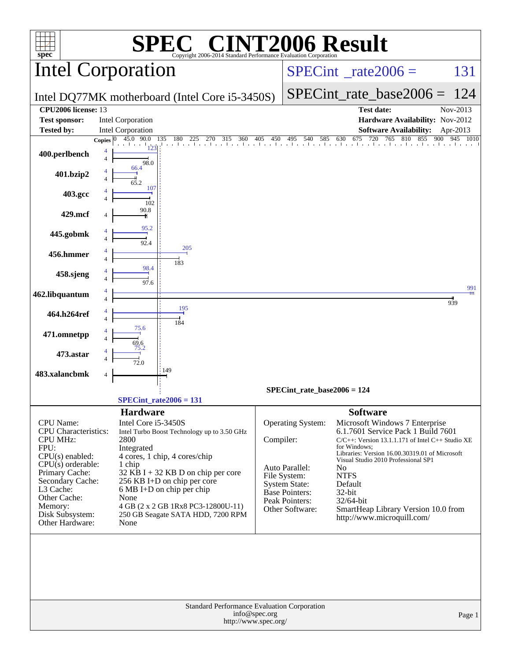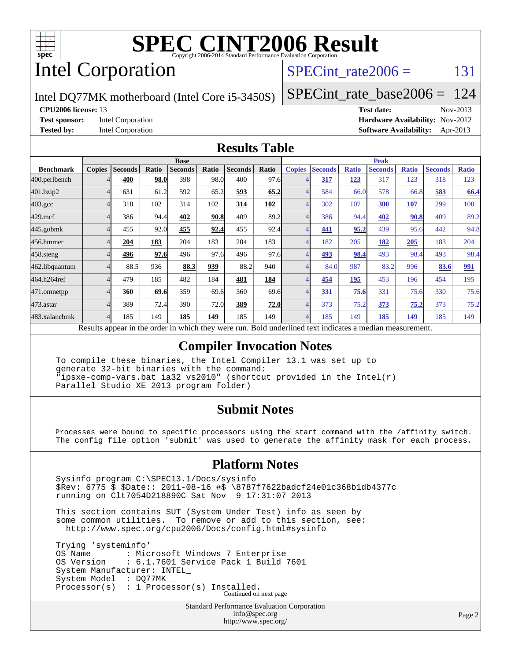

# Intel Corporation

### SPECint rate $2006 = 131$

Intel DQ77MK motherboard (Intel Core i5-3450S)

[SPECint\\_rate\\_base2006 =](http://www.spec.org/auto/cpu2006/Docs/result-fields.html#SPECintratebase2006) 124

#### **[CPU2006 license:](http://www.spec.org/auto/cpu2006/Docs/result-fields.html#CPU2006license)** 13 **[Test date:](http://www.spec.org/auto/cpu2006/Docs/result-fields.html#Testdate)** Nov-2013

**[Test sponsor:](http://www.spec.org/auto/cpu2006/Docs/result-fields.html#Testsponsor)** Intel Corporation **[Hardware Availability:](http://www.spec.org/auto/cpu2006/Docs/result-fields.html#HardwareAvailability)** Nov-2012 **[Tested by:](http://www.spec.org/auto/cpu2006/Docs/result-fields.html#Testedby)** Intel Corporation **[Software Availability:](http://www.spec.org/auto/cpu2006/Docs/result-fields.html#SoftwareAvailability)** Apr-2013

### **[Results Table](http://www.spec.org/auto/cpu2006/Docs/result-fields.html#ResultsTable)**

|                    |                |                |              | <b>Base</b>    |       |                |                           |                |                 |              | <b>Peak</b>    |              |                |              |
|--------------------|----------------|----------------|--------------|----------------|-------|----------------|---------------------------|----------------|-----------------|--------------|----------------|--------------|----------------|--------------|
| <b>Benchmark</b>   | <b>Copies</b>  | <b>Seconds</b> | Ratio        | <b>Seconds</b> | Ratio | <b>Seconds</b> | Ratio                     | <b>Copies</b>  | <b>Seconds</b>  | <b>Ratio</b> | <b>Seconds</b> | <b>Ratio</b> | <b>Seconds</b> | <b>Ratio</b> |
| 400.perlbench      |                | 400            | 98.0         | 398            | 98.0  | 400            | 97.6                      |                | 317             | 123          | 317            | 123          | 318            | 123          |
| 401.bzip2          |                | 631            | 61.2         | 592            | 65.2  | 593            | 65.2                      | 4              | 584             | 66.0         | 578            | 66.8         | 583            | 66.4         |
| $403.\mathrm{gcc}$ |                | 318            | 102          | 314            | 102   | 314            | 102                       |                | 302             | 107          | 300            | 107          | 299            | 108          |
| $429$ .mcf         |                | 386            | 94.4         | 402            | 90.8  | 409            | 89.2                      | 4              | 386             | 94.4         | 402            | 90.8         | 409            | 89.2         |
| $445$ .gobmk       |                | 455            | 92.0         | 455            | 92.4  | 455            | 92.4                      | 4              | 441             | 95.2         | 439            | 95.6         | 442            | 94.8         |
| 456.hmmer          |                | 204            | 183          | 204            | 183   | 204            | 183                       | 4              | 182             | 205          | 182            | 205          | 183            | 204          |
| $458$ .sjeng       |                | 496            | 97.6         | 496            | 97.6  | 496            | 97.6                      | $\overline{4}$ | 493             | 98.4         | 493            | 98.4         | 493            | 98.4         |
| 462.libquantum     |                | 88.5           | 936          | 88.3           | 939   | 88.2           | 940                       | 4              | 84.0            | 987          | 83.2           | 996          | 83.6           | 991          |
| 464.h264ref        |                | 479            | 185          | 482            | 184   | 481            | 184                       | 4              | 454             | 195          | 453            | 196          | 454            | 195          |
| 471.omnetpp        |                | 360            | 69.6         | 359            | 69.6  | 360            | 69.6                      |                | 331             | 75.6         | 331            | 75.6         | 330            | 75.6         |
| 473.astar          |                | 389            | 72.4         | 390            | 72.0  | 389            | 72.0                      | 4              | 373             | 75.2         | 373            | 75.2         | 373            | 75.2         |
| 483.xalancbmk      |                | 185            | 149          | 185            | 149   | 185            | 149                       |                | 185             | 149          | 185            | <u>149</u>   | 185            | 149          |
| $\mathbf{r}$       | $\mathbf{1}$ . |                | $\mathbf{1}$ | 1.1.1.1        |       |                | $\mathbf{r}$ $\mathbf{r}$ |                | $\cdot$ $\cdot$ |              |                |              |                |              |

Results appear in the [order in which they were run.](http://www.spec.org/auto/cpu2006/Docs/result-fields.html#RunOrder) Bold underlined text [indicates a median measurement.](http://www.spec.org/auto/cpu2006/Docs/result-fields.html#Median)

### **[Compiler Invocation Notes](http://www.spec.org/auto/cpu2006/Docs/result-fields.html#CompilerInvocationNotes)**

 To compile these binaries, the Intel Compiler 13.1 was set up to generate 32-bit binaries with the command: "ipsxe-comp-vars.bat ia32 vs2010" (shortcut provided in the Intel(r) Parallel Studio XE 2013 program folder)

### **[Submit Notes](http://www.spec.org/auto/cpu2006/Docs/result-fields.html#SubmitNotes)**

 Processes were bound to specific processors using the start command with the /affinity switch. The config file option 'submit' was used to generate the affinity mask for each process.

### **[Platform Notes](http://www.spec.org/auto/cpu2006/Docs/result-fields.html#PlatformNotes)**

 Sysinfo program C:\SPEC13.1/Docs/sysinfo \$Rev: 6775 \$ \$Date:: 2011-08-16 #\$ \8787f7622badcf24e01c368b1db4377c running on Clt7054D218890C Sat Nov 9 17:31:07 2013

 This section contains SUT (System Under Test) info as seen by some common utilities. To remove or add to this section, see: <http://www.spec.org/cpu2006/Docs/config.html#sysinfo>

 Trying 'systeminfo' OS Name : Microsoft Windows 7 Enterprise<br>OS Version : 6.1.7601 Service Pack 1 Build : 6.1.7601 Service Pack 1 Build 7601 System Manufacturer: INTEL\_ System Model : DO77MK Processor(s) : 1 Processor(s) Installed. Continued on next page

> Standard Performance Evaluation Corporation [info@spec.org](mailto:info@spec.org) <http://www.spec.org/>

Page 2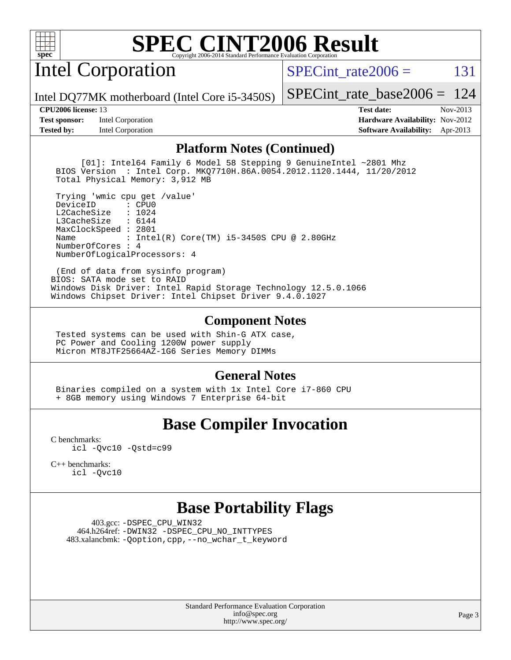

Intel Corporation

SPECint rate $2006 = 131$ 

Intel DQ77MK motherboard (Intel Core i5-3450S)

[SPECint\\_rate\\_base2006 =](http://www.spec.org/auto/cpu2006/Docs/result-fields.html#SPECintratebase2006) 124

**[Test sponsor:](http://www.spec.org/auto/cpu2006/Docs/result-fields.html#Testsponsor)** Intel Corporation **[Hardware Availability:](http://www.spec.org/auto/cpu2006/Docs/result-fields.html#HardwareAvailability)** Nov-2012 **[Tested by:](http://www.spec.org/auto/cpu2006/Docs/result-fields.html#Testedby)** Intel Corporation **[Software Availability:](http://www.spec.org/auto/cpu2006/Docs/result-fields.html#SoftwareAvailability)** Apr-2013

**[CPU2006 license:](http://www.spec.org/auto/cpu2006/Docs/result-fields.html#CPU2006license)** 13 **[Test date:](http://www.spec.org/auto/cpu2006/Docs/result-fields.html#Testdate)** Nov-2013

### **[Platform Notes \(Continued\)](http://www.spec.org/auto/cpu2006/Docs/result-fields.html#PlatformNotes)**

 [01]: Intel64 Family 6 Model 58 Stepping 9 GenuineIntel ~2801 Mhz BIOS Version : Intel Corp. MKQ7710H.86A.0054.2012.1120.1444, 11/20/2012 Total Physical Memory: 3,912 MB

 Trying 'wmic cpu get /value' DeviceID L2CacheSize : 1024 L3CacheSize : 6144 MaxClockSpeed : 2801 Name : Intel(R) Core(TM) i5-3450S CPU @ 2.80GHz NumberOfCores : 4 NumberOfLogicalProcessors: 4

 (End of data from sysinfo program) BIOS: SATA mode set to RAID Windows Disk Driver: Intel Rapid Storage Technology 12.5.0.1066 Windows Chipset Driver: Intel Chipset Driver 9.4.0.1027

### **[Component Notes](http://www.spec.org/auto/cpu2006/Docs/result-fields.html#ComponentNotes)**

 Tested systems can be used with Shin-G ATX case, PC Power and Cooling 1200W power supply Micron MT8JTF25664AZ-1G6 Series Memory DIMMs

### **[General Notes](http://www.spec.org/auto/cpu2006/Docs/result-fields.html#GeneralNotes)**

 Binaries compiled on a system with 1x Intel Core i7-860 CPU + 8GB memory using Windows 7 Enterprise 64-bit

# **[Base Compiler Invocation](http://www.spec.org/auto/cpu2006/Docs/result-fields.html#BaseCompilerInvocation)**

[C benchmarks](http://www.spec.org/auto/cpu2006/Docs/result-fields.html#Cbenchmarks): [icl -Qvc10](http://www.spec.org/cpu2006/results/res2014q3/cpu2006-20140701-30240.flags.html#user_CCbase_intel_icc_vc10_9607f3ecbcdf68042245f068e51b40c1) [-Qstd=c99](http://www.spec.org/cpu2006/results/res2014q3/cpu2006-20140701-30240.flags.html#user_CCbase_intel_compiler_c99_mode_1a3d110e3041b3ad4466830521bdad2a)

[C++ benchmarks:](http://www.spec.org/auto/cpu2006/Docs/result-fields.html#CXXbenchmarks) [icl -Qvc10](http://www.spec.org/cpu2006/results/res2014q3/cpu2006-20140701-30240.flags.html#user_CXXbase_intel_icc_vc10_9607f3ecbcdf68042245f068e51b40c1)

# **[Base Portability Flags](http://www.spec.org/auto/cpu2006/Docs/result-fields.html#BasePortabilityFlags)**

 403.gcc: [-DSPEC\\_CPU\\_WIN32](http://www.spec.org/cpu2006/results/res2014q3/cpu2006-20140701-30240.flags.html#b403.gcc_baseCPORTABILITY_DSPEC_CPU_WIN32) 464.h264ref: [-DWIN32](http://www.spec.org/cpu2006/results/res2014q3/cpu2006-20140701-30240.flags.html#b464.h264ref_baseCPORTABILITY_DWIN32) [-DSPEC\\_CPU\\_NO\\_INTTYPES](http://www.spec.org/cpu2006/results/res2014q3/cpu2006-20140701-30240.flags.html#b464.h264ref_baseCPORTABILITY_DSPEC_CPU_NO_INTTYPES) 483.xalancbmk: [-Qoption,cpp,--no\\_wchar\\_t\\_keyword](http://www.spec.org/cpu2006/results/res2014q3/cpu2006-20140701-30240.flags.html#user_baseCXXPORTABILITY483_xalancbmk_f-no_wchar_t_keyword_ec0ad4495a16b4e858bfcb29d949d25d)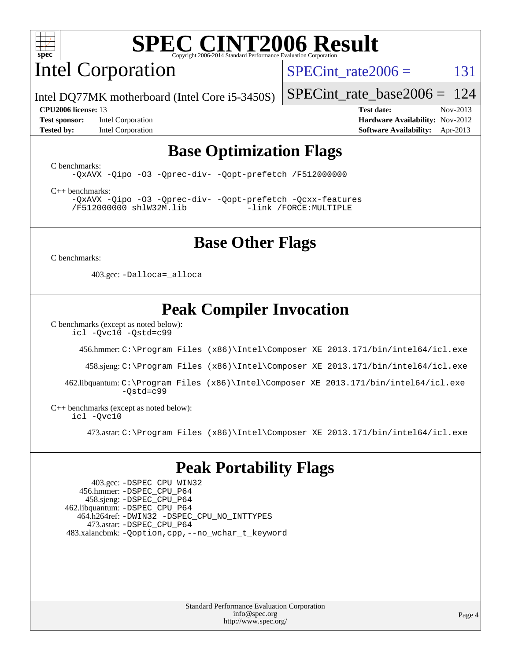

Intel Corporation

SPECint rate $2006 = 131$ 

Intel DQ77MK motherboard (Intel Core i5-3450S)

#### **[CPU2006 license:](http://www.spec.org/auto/cpu2006/Docs/result-fields.html#CPU2006license)** 13 **[Test date:](http://www.spec.org/auto/cpu2006/Docs/result-fields.html#Testdate)** Nov-2013

**[Test sponsor:](http://www.spec.org/auto/cpu2006/Docs/result-fields.html#Testsponsor)** Intel Corporation **[Hardware Availability:](http://www.spec.org/auto/cpu2006/Docs/result-fields.html#HardwareAvailability)** Nov-2012 **[Tested by:](http://www.spec.org/auto/cpu2006/Docs/result-fields.html#Testedby)** Intel Corporation **[Software Availability:](http://www.spec.org/auto/cpu2006/Docs/result-fields.html#SoftwareAvailability)** Apr-2013

[SPECint\\_rate\\_base2006 =](http://www.spec.org/auto/cpu2006/Docs/result-fields.html#SPECintratebase2006) 124

# **[Base Optimization Flags](http://www.spec.org/auto/cpu2006/Docs/result-fields.html#BaseOptimizationFlags)**

[C benchmarks](http://www.spec.org/auto/cpu2006/Docs/result-fields.html#Cbenchmarks):

[-QxAVX](http://www.spec.org/cpu2006/results/res2014q3/cpu2006-20140701-30240.flags.html#user_CCbase_f-QxAVX) [-Qipo](http://www.spec.org/cpu2006/results/res2014q3/cpu2006-20140701-30240.flags.html#user_CCbase_f-Qipo) [-O3](http://www.spec.org/cpu2006/results/res2014q3/cpu2006-20140701-30240.flags.html#user_CCbase_f-O3) [-Qprec-div-](http://www.spec.org/cpu2006/results/res2014q3/cpu2006-20140701-30240.flags.html#user_CCbase_f-Qprec-div-) [-Qopt-prefetch](http://www.spec.org/cpu2006/results/res2014q3/cpu2006-20140701-30240.flags.html#user_CCbase_f-Qprefetch_37c211608666b9dff9380561f602f0a8) [/F512000000](http://www.spec.org/cpu2006/results/res2014q3/cpu2006-20140701-30240.flags.html#user_CCbase_set_stack_space_98438a10eb60aa5f35f4c79d9b9b27b1)

[C++ benchmarks:](http://www.spec.org/auto/cpu2006/Docs/result-fields.html#CXXbenchmarks)

[-QxAVX](http://www.spec.org/cpu2006/results/res2014q3/cpu2006-20140701-30240.flags.html#user_CXXbase_f-QxAVX) [-Qipo](http://www.spec.org/cpu2006/results/res2014q3/cpu2006-20140701-30240.flags.html#user_CXXbase_f-Qipo) [-O3](http://www.spec.org/cpu2006/results/res2014q3/cpu2006-20140701-30240.flags.html#user_CXXbase_f-O3) [-Qprec-div-](http://www.spec.org/cpu2006/results/res2014q3/cpu2006-20140701-30240.flags.html#user_CXXbase_f-Qprec-div-) [-Qopt-prefetch](http://www.spec.org/cpu2006/results/res2014q3/cpu2006-20140701-30240.flags.html#user_CXXbase_f-Qprefetch_37c211608666b9dff9380561f602f0a8) [-Qcxx-features](http://www.spec.org/cpu2006/results/res2014q3/cpu2006-20140701-30240.flags.html#user_CXXbase_f-Qcxx_features_dbf36c8a6dba956e22f1645e4dcd4d98) [/F512000000](http://www.spec.org/cpu2006/results/res2014q3/cpu2006-20140701-30240.flags.html#user_CXXbase_set_stack_space_98438a10eb60aa5f35f4c79d9b9b27b1) [shlW32M.lib](http://www.spec.org/cpu2006/results/res2014q3/cpu2006-20140701-30240.flags.html#user_CXXbase_SmartHeap32_d106338dfda1a055705c9b519e07f096) [-link /FORCE:MULTIPLE](http://www.spec.org/cpu2006/results/res2014q3/cpu2006-20140701-30240.flags.html#user_CXXbase_link_force_multiple2_070fe330869edf77077b841074b8b0b6)

### **[Base Other Flags](http://www.spec.org/auto/cpu2006/Docs/result-fields.html#BaseOtherFlags)**

[C benchmarks](http://www.spec.org/auto/cpu2006/Docs/result-fields.html#Cbenchmarks):

403.gcc: [-Dalloca=\\_alloca](http://www.spec.org/cpu2006/results/res2014q3/cpu2006-20140701-30240.flags.html#b403.gcc_baseEXTRA_CFLAGS_Dalloca_be3056838c12de2578596ca5467af7f3)

# **[Peak Compiler Invocation](http://www.spec.org/auto/cpu2006/Docs/result-fields.html#PeakCompilerInvocation)**

[C benchmarks \(except as noted below\)](http://www.spec.org/auto/cpu2006/Docs/result-fields.html#Cbenchmarksexceptasnotedbelow):

[icl -Qvc10](http://www.spec.org/cpu2006/results/res2014q3/cpu2006-20140701-30240.flags.html#user_CCpeak_intel_icc_vc10_9607f3ecbcdf68042245f068e51b40c1) [-Qstd=c99](http://www.spec.org/cpu2006/results/res2014q3/cpu2006-20140701-30240.flags.html#user_CCpeak_intel_compiler_c99_mode_1a3d110e3041b3ad4466830521bdad2a)

456.hmmer: [C:\Program Files \(x86\)\Intel\Composer XE 2013.171/bin/intel64/icl.exe](http://www.spec.org/cpu2006/results/res2014q3/cpu2006-20140701-30240.flags.html#user_peakCCLD456_hmmer_intel_icc_64bit_a47adb23ffeeb40a4c72a454746f326c)

458.sjeng: [C:\Program Files \(x86\)\Intel\Composer XE 2013.171/bin/intel64/icl.exe](http://www.spec.org/cpu2006/results/res2014q3/cpu2006-20140701-30240.flags.html#user_peakCCLD458_sjeng_intel_icc_64bit_a47adb23ffeeb40a4c72a454746f326c)

 462.libquantum: [C:\Program Files \(x86\)\Intel\Composer XE 2013.171/bin/intel64/icl.exe](http://www.spec.org/cpu2006/results/res2014q3/cpu2006-20140701-30240.flags.html#user_peakCCLD462_libquantum_intel_icc_64bit_a47adb23ffeeb40a4c72a454746f326c)  $-Ostd=c99$ 

[C++ benchmarks \(except as noted below\):](http://www.spec.org/auto/cpu2006/Docs/result-fields.html#CXXbenchmarksexceptasnotedbelow) [icl -Qvc10](http://www.spec.org/cpu2006/results/res2014q3/cpu2006-20140701-30240.flags.html#user_CXXpeak_intel_icc_vc10_9607f3ecbcdf68042245f068e51b40c1)

473.astar: [C:\Program Files \(x86\)\Intel\Composer XE 2013.171/bin/intel64/icl.exe](http://www.spec.org/cpu2006/results/res2014q3/cpu2006-20140701-30240.flags.html#user_peakCXXLD473_astar_intel_icc_64bit_a47adb23ffeeb40a4c72a454746f326c)

# **[Peak Portability Flags](http://www.spec.org/auto/cpu2006/Docs/result-fields.html#PeakPortabilityFlags)**

 403.gcc: [-DSPEC\\_CPU\\_WIN32](http://www.spec.org/cpu2006/results/res2014q3/cpu2006-20140701-30240.flags.html#b403.gcc_peakCPORTABILITY_DSPEC_CPU_WIN32) 456.hmmer: [-DSPEC\\_CPU\\_P64](http://www.spec.org/cpu2006/results/res2014q3/cpu2006-20140701-30240.flags.html#suite_peakPORTABILITY456_hmmer_DSPEC_CPU_P64) 458.sjeng: [-DSPEC\\_CPU\\_P64](http://www.spec.org/cpu2006/results/res2014q3/cpu2006-20140701-30240.flags.html#suite_peakPORTABILITY458_sjeng_DSPEC_CPU_P64) 462.libquantum: [-DSPEC\\_CPU\\_P64](http://www.spec.org/cpu2006/results/res2014q3/cpu2006-20140701-30240.flags.html#suite_peakPORTABILITY462_libquantum_DSPEC_CPU_P64) 464.h264ref: [-DWIN32](http://www.spec.org/cpu2006/results/res2014q3/cpu2006-20140701-30240.flags.html#b464.h264ref_peakCPORTABILITY_DWIN32) [-DSPEC\\_CPU\\_NO\\_INTTYPES](http://www.spec.org/cpu2006/results/res2014q3/cpu2006-20140701-30240.flags.html#b464.h264ref_peakCPORTABILITY_DSPEC_CPU_NO_INTTYPES) 473.astar: [-DSPEC\\_CPU\\_P64](http://www.spec.org/cpu2006/results/res2014q3/cpu2006-20140701-30240.flags.html#suite_peakPORTABILITY473_astar_DSPEC_CPU_P64) 483.xalancbmk: [-Qoption,cpp,--no\\_wchar\\_t\\_keyword](http://www.spec.org/cpu2006/results/res2014q3/cpu2006-20140701-30240.flags.html#user_peakCXXPORTABILITY483_xalancbmk_f-no_wchar_t_keyword_ec0ad4495a16b4e858bfcb29d949d25d)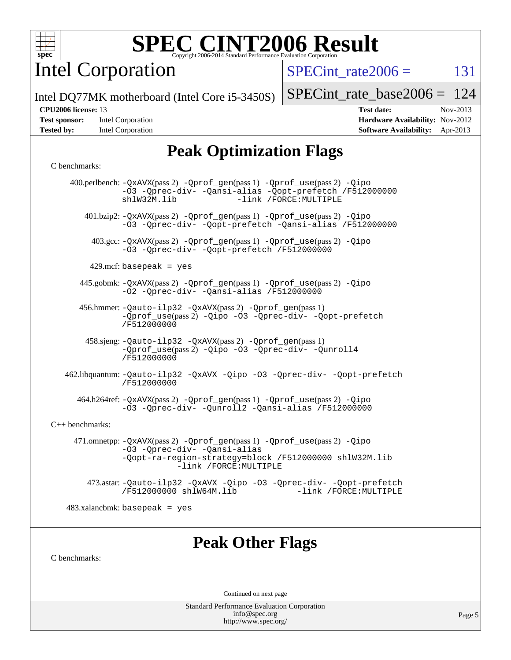

Intel Corporation

SPECint rate $2006 = 131$ 

Intel DQ77MK motherboard (Intel Core i5-3450S)

#### **[CPU2006 license:](http://www.spec.org/auto/cpu2006/Docs/result-fields.html#CPU2006license)** 13 **[Test date:](http://www.spec.org/auto/cpu2006/Docs/result-fields.html#Testdate)** Nov-2013

| <b>Test sponsor:</b> | Intel Corporation        |
|----------------------|--------------------------|
| <b>Tested by:</b>    | <b>Intel Corporation</b> |

[SPECint\\_rate\\_base2006 =](http://www.spec.org/auto/cpu2006/Docs/result-fields.html#SPECintratebase2006) 124

**[Hardware Availability:](http://www.spec.org/auto/cpu2006/Docs/result-fields.html#HardwareAvailability)** Nov-2012 **[Software Availability:](http://www.spec.org/auto/cpu2006/Docs/result-fields.html#SoftwareAvailability)** Apr-2013

# **[Peak Optimization Flags](http://www.spec.org/auto/cpu2006/Docs/result-fields.html#PeakOptimizationFlags)**

#### [C benchmarks](http://www.spec.org/auto/cpu2006/Docs/result-fields.html#Cbenchmarks):

 400.perlbench: [-QxAVX](http://www.spec.org/cpu2006/results/res2014q3/cpu2006-20140701-30240.flags.html#user_peakPASS2_CFLAGSPASS2_LDFLAGS400_perlbench_f-QxAVX)(pass 2) [-Qprof\\_gen](http://www.spec.org/cpu2006/results/res2014q3/cpu2006-20140701-30240.flags.html#user_peakPASS1_CFLAGSPASS1_LDFLAGS400_perlbench_Qprof_gen)(pass 1) [-Qprof\\_use](http://www.spec.org/cpu2006/results/res2014q3/cpu2006-20140701-30240.flags.html#user_peakPASS2_CFLAGSPASS2_LDFLAGS400_perlbench_Qprof_use)(pass 2) [-Qipo](http://www.spec.org/cpu2006/results/res2014q3/cpu2006-20140701-30240.flags.html#user_peakOPTIMIZE400_perlbench_f-Qipo) [-O3](http://www.spec.org/cpu2006/results/res2014q3/cpu2006-20140701-30240.flags.html#user_peakOPTIMIZE400_perlbench_f-O3) [-Qprec-div-](http://www.spec.org/cpu2006/results/res2014q3/cpu2006-20140701-30240.flags.html#user_peakOPTIMIZE400_perlbench_f-Qprec-div-) [-Qansi-alias](http://www.spec.org/cpu2006/results/res2014q3/cpu2006-20140701-30240.flags.html#user_peakOPTIMIZE400_perlbench_f-Qansi-alias) [-Qopt-prefetch](http://www.spec.org/cpu2006/results/res2014q3/cpu2006-20140701-30240.flags.html#user_peakOPTIMIZE400_perlbench_f-Qprefetch_37c211608666b9dff9380561f602f0a8) [/F512000000](http://www.spec.org/cpu2006/results/res2014q3/cpu2006-20140701-30240.flags.html#user_peakEXTRA_LDFLAGS400_perlbench_set_stack_space_98438a10eb60aa5f35f4c79d9b9b27b1) [shlW32M.lib](http://www.spec.org/cpu2006/results/res2014q3/cpu2006-20140701-30240.flags.html#user_peakEXTRA_LIBS400_perlbench_SmartHeap32_d106338dfda1a055705c9b519e07f096) [-link /FORCE:MULTIPLE](http://www.spec.org/cpu2006/results/res2014q3/cpu2006-20140701-30240.flags.html#user_peakLDOUT400_perlbench_link_force_multiple2_070fe330869edf77077b841074b8b0b6) 401.bzip2: [-QxAVX](http://www.spec.org/cpu2006/results/res2014q3/cpu2006-20140701-30240.flags.html#user_peakPASS2_CFLAGSPASS2_LDFLAGS401_bzip2_f-QxAVX)(pass 2) [-Qprof\\_gen](http://www.spec.org/cpu2006/results/res2014q3/cpu2006-20140701-30240.flags.html#user_peakPASS1_CFLAGSPASS1_LDFLAGS401_bzip2_Qprof_gen)(pass 1) [-Qprof\\_use](http://www.spec.org/cpu2006/results/res2014q3/cpu2006-20140701-30240.flags.html#user_peakPASS2_CFLAGSPASS2_LDFLAGS401_bzip2_Qprof_use)(pass 2) [-Qipo](http://www.spec.org/cpu2006/results/res2014q3/cpu2006-20140701-30240.flags.html#user_peakOPTIMIZE401_bzip2_f-Qipo) [-O3](http://www.spec.org/cpu2006/results/res2014q3/cpu2006-20140701-30240.flags.html#user_peakOPTIMIZE401_bzip2_f-O3) [-Qprec-div-](http://www.spec.org/cpu2006/results/res2014q3/cpu2006-20140701-30240.flags.html#user_peakOPTIMIZE401_bzip2_f-Qprec-div-) [-Qopt-prefetch](http://www.spec.org/cpu2006/results/res2014q3/cpu2006-20140701-30240.flags.html#user_peakOPTIMIZE401_bzip2_f-Qprefetch_37c211608666b9dff9380561f602f0a8) [-Qansi-alias](http://www.spec.org/cpu2006/results/res2014q3/cpu2006-20140701-30240.flags.html#user_peakOPTIMIZE401_bzip2_f-Qansi-alias) [/F512000000](http://www.spec.org/cpu2006/results/res2014q3/cpu2006-20140701-30240.flags.html#user_peakEXTRA_LDFLAGS401_bzip2_set_stack_space_98438a10eb60aa5f35f4c79d9b9b27b1) 403.gcc: [-QxAVX](http://www.spec.org/cpu2006/results/res2014q3/cpu2006-20140701-30240.flags.html#user_peakPASS2_CFLAGSPASS2_LDFLAGS403_gcc_f-QxAVX)(pass 2) [-Qprof\\_gen](http://www.spec.org/cpu2006/results/res2014q3/cpu2006-20140701-30240.flags.html#user_peakPASS1_CFLAGSPASS1_LDFLAGS403_gcc_Qprof_gen)(pass 1) [-Qprof\\_use](http://www.spec.org/cpu2006/results/res2014q3/cpu2006-20140701-30240.flags.html#user_peakPASS2_CFLAGSPASS2_LDFLAGS403_gcc_Qprof_use)(pass 2) [-Qipo](http://www.spec.org/cpu2006/results/res2014q3/cpu2006-20140701-30240.flags.html#user_peakOPTIMIZE403_gcc_f-Qipo) [-O3](http://www.spec.org/cpu2006/results/res2014q3/cpu2006-20140701-30240.flags.html#user_peakOPTIMIZE403_gcc_f-O3) [-Qprec-div-](http://www.spec.org/cpu2006/results/res2014q3/cpu2006-20140701-30240.flags.html#user_peakOPTIMIZE403_gcc_f-Qprec-div-) [-Qopt-prefetch](http://www.spec.org/cpu2006/results/res2014q3/cpu2006-20140701-30240.flags.html#user_peakOPTIMIZE403_gcc_f-Qprefetch_37c211608666b9dff9380561f602f0a8) [/F512000000](http://www.spec.org/cpu2006/results/res2014q3/cpu2006-20140701-30240.flags.html#user_peakEXTRA_LDFLAGS403_gcc_set_stack_space_98438a10eb60aa5f35f4c79d9b9b27b1)  $429$ .mcf: basepeak = yes 445.gobmk: [-QxAVX](http://www.spec.org/cpu2006/results/res2014q3/cpu2006-20140701-30240.flags.html#user_peakPASS2_CFLAGSPASS2_LDFLAGS445_gobmk_f-QxAVX)(pass 2) [-Qprof\\_gen](http://www.spec.org/cpu2006/results/res2014q3/cpu2006-20140701-30240.flags.html#user_peakPASS1_CFLAGSPASS1_LDFLAGS445_gobmk_Qprof_gen)(pass 1) [-Qprof\\_use](http://www.spec.org/cpu2006/results/res2014q3/cpu2006-20140701-30240.flags.html#user_peakPASS2_CFLAGSPASS2_LDFLAGS445_gobmk_Qprof_use)(pass 2) [-Qipo](http://www.spec.org/cpu2006/results/res2014q3/cpu2006-20140701-30240.flags.html#user_peakOPTIMIZE445_gobmk_f-Qipo)  $-02$  [-Qprec-div-](http://www.spec.org/cpu2006/results/res2014q3/cpu2006-20140701-30240.flags.html#user_peakOPTIMIZE445_gobmk_f-Qprec-div-) [-Qansi-alias](http://www.spec.org/cpu2006/results/res2014q3/cpu2006-20140701-30240.flags.html#user_peakOPTIMIZE445_gobmk_f-Qansi-alias) [/F512000000](http://www.spec.org/cpu2006/results/res2014q3/cpu2006-20140701-30240.flags.html#user_peakEXTRA_LDFLAGS445_gobmk_set_stack_space_98438a10eb60aa5f35f4c79d9b9b27b1) 456.hmmer: [-Qauto-ilp32](http://www.spec.org/cpu2006/results/res2014q3/cpu2006-20140701-30240.flags.html#user_peakCCLD456_hmmer_f-Qauto-ilp32) [-QxAVX](http://www.spec.org/cpu2006/results/res2014q3/cpu2006-20140701-30240.flags.html#user_peakPASS2_CFLAGSPASS2_LDFLAGS456_hmmer_f-QxAVX)(pass 2) [-Qprof\\_gen](http://www.spec.org/cpu2006/results/res2014q3/cpu2006-20140701-30240.flags.html#user_peakPASS1_CFLAGSPASS1_LDFLAGS456_hmmer_Qprof_gen)(pass 1) [-Qprof\\_use](http://www.spec.org/cpu2006/results/res2014q3/cpu2006-20140701-30240.flags.html#user_peakPASS2_CFLAGSPASS2_LDFLAGS456_hmmer_Qprof_use)(pass 2) [-Qipo](http://www.spec.org/cpu2006/results/res2014q3/cpu2006-20140701-30240.flags.html#user_peakOPTIMIZE456_hmmer_f-Qipo) [-O3](http://www.spec.org/cpu2006/results/res2014q3/cpu2006-20140701-30240.flags.html#user_peakOPTIMIZE456_hmmer_f-O3) [-Qprec-div-](http://www.spec.org/cpu2006/results/res2014q3/cpu2006-20140701-30240.flags.html#user_peakOPTIMIZE456_hmmer_f-Qprec-div-) [-Qopt-prefetch](http://www.spec.org/cpu2006/results/res2014q3/cpu2006-20140701-30240.flags.html#user_peakOPTIMIZE456_hmmer_f-Qprefetch_37c211608666b9dff9380561f602f0a8) [/F512000000](http://www.spec.org/cpu2006/results/res2014q3/cpu2006-20140701-30240.flags.html#user_peakEXTRA_LDFLAGS456_hmmer_set_stack_space_98438a10eb60aa5f35f4c79d9b9b27b1) 458.sjeng: [-Qauto-ilp32](http://www.spec.org/cpu2006/results/res2014q3/cpu2006-20140701-30240.flags.html#user_peakCCLD458_sjeng_f-Qauto-ilp32) [-QxAVX](http://www.spec.org/cpu2006/results/res2014q3/cpu2006-20140701-30240.flags.html#user_peakPASS2_CFLAGSPASS2_LDFLAGS458_sjeng_f-QxAVX)(pass 2) [-Qprof\\_gen](http://www.spec.org/cpu2006/results/res2014q3/cpu2006-20140701-30240.flags.html#user_peakPASS1_CFLAGSPASS1_LDFLAGS458_sjeng_Qprof_gen)(pass 1) [-Qprof\\_use](http://www.spec.org/cpu2006/results/res2014q3/cpu2006-20140701-30240.flags.html#user_peakPASS2_CFLAGSPASS2_LDFLAGS458_sjeng_Qprof_use)(pass 2) [-Qipo](http://www.spec.org/cpu2006/results/res2014q3/cpu2006-20140701-30240.flags.html#user_peakOPTIMIZE458_sjeng_f-Qipo) [-O3](http://www.spec.org/cpu2006/results/res2014q3/cpu2006-20140701-30240.flags.html#user_peakOPTIMIZE458_sjeng_f-O3) [-Qprec-div-](http://www.spec.org/cpu2006/results/res2014q3/cpu2006-20140701-30240.flags.html#user_peakOPTIMIZE458_sjeng_f-Qprec-div-) [-Qunroll4](http://www.spec.org/cpu2006/results/res2014q3/cpu2006-20140701-30240.flags.html#user_peakOPTIMIZE458_sjeng_f-Qunroll_013b1c0ea3aa84ef2c65e488bcc3d968) [/F512000000](http://www.spec.org/cpu2006/results/res2014q3/cpu2006-20140701-30240.flags.html#user_peakEXTRA_LDFLAGS458_sjeng_set_stack_space_98438a10eb60aa5f35f4c79d9b9b27b1) 462.libquantum: [-Qauto-ilp32](http://www.spec.org/cpu2006/results/res2014q3/cpu2006-20140701-30240.flags.html#user_peakCCLD462_libquantum_f-Qauto-ilp32) [-QxAVX](http://www.spec.org/cpu2006/results/res2014q3/cpu2006-20140701-30240.flags.html#user_peakOPTIMIZE462_libquantum_f-QxAVX) [-Qipo](http://www.spec.org/cpu2006/results/res2014q3/cpu2006-20140701-30240.flags.html#user_peakOPTIMIZE462_libquantum_f-Qipo) [-O3](http://www.spec.org/cpu2006/results/res2014q3/cpu2006-20140701-30240.flags.html#user_peakOPTIMIZE462_libquantum_f-O3) [-Qprec-div-](http://www.spec.org/cpu2006/results/res2014q3/cpu2006-20140701-30240.flags.html#user_peakOPTIMIZE462_libquantum_f-Qprec-div-) [-Qopt-prefetch](http://www.spec.org/cpu2006/results/res2014q3/cpu2006-20140701-30240.flags.html#user_peakOPTIMIZE462_libquantum_f-Qprefetch_37c211608666b9dff9380561f602f0a8) [/F512000000](http://www.spec.org/cpu2006/results/res2014q3/cpu2006-20140701-30240.flags.html#user_peakEXTRA_LDFLAGS462_libquantum_set_stack_space_98438a10eb60aa5f35f4c79d9b9b27b1) 464.h264ref: [-QxAVX](http://www.spec.org/cpu2006/results/res2014q3/cpu2006-20140701-30240.flags.html#user_peakPASS2_CFLAGSPASS2_LDFLAGS464_h264ref_f-QxAVX)(pass 2) [-Qprof\\_gen](http://www.spec.org/cpu2006/results/res2014q3/cpu2006-20140701-30240.flags.html#user_peakPASS1_CFLAGSPASS1_LDFLAGS464_h264ref_Qprof_gen)(pass 1) [-Qprof\\_use](http://www.spec.org/cpu2006/results/res2014q3/cpu2006-20140701-30240.flags.html#user_peakPASS2_CFLAGSPASS2_LDFLAGS464_h264ref_Qprof_use)(pass 2) [-Qipo](http://www.spec.org/cpu2006/results/res2014q3/cpu2006-20140701-30240.flags.html#user_peakOPTIMIZE464_h264ref_f-Qipo) [-O3](http://www.spec.org/cpu2006/results/res2014q3/cpu2006-20140701-30240.flags.html#user_peakOPTIMIZE464_h264ref_f-O3) [-Qprec-div-](http://www.spec.org/cpu2006/results/res2014q3/cpu2006-20140701-30240.flags.html#user_peakOPTIMIZE464_h264ref_f-Qprec-div-) [-Qunroll2](http://www.spec.org/cpu2006/results/res2014q3/cpu2006-20140701-30240.flags.html#user_peakOPTIMIZE464_h264ref_f-Qunroll_1d9456aa650e77fc2a0cf43cef3fa08c) [-Qansi-alias](http://www.spec.org/cpu2006/results/res2014q3/cpu2006-20140701-30240.flags.html#user_peakOPTIMIZE464_h264ref_f-Qansi-alias) [/F512000000](http://www.spec.org/cpu2006/results/res2014q3/cpu2006-20140701-30240.flags.html#user_peakEXTRA_LDFLAGS464_h264ref_set_stack_space_98438a10eb60aa5f35f4c79d9b9b27b1) [C++ benchmarks:](http://www.spec.org/auto/cpu2006/Docs/result-fields.html#CXXbenchmarks) 471.omnetpp: [-QxAVX](http://www.spec.org/cpu2006/results/res2014q3/cpu2006-20140701-30240.flags.html#user_peakPASS2_CXXFLAGSPASS2_LDFLAGS471_omnetpp_f-QxAVX)(pass 2) [-Qprof\\_gen](http://www.spec.org/cpu2006/results/res2014q3/cpu2006-20140701-30240.flags.html#user_peakPASS1_CXXFLAGSPASS1_LDFLAGS471_omnetpp_Qprof_gen)(pass 1) [-Qprof\\_use](http://www.spec.org/cpu2006/results/res2014q3/cpu2006-20140701-30240.flags.html#user_peakPASS2_CXXFLAGSPASS2_LDFLAGS471_omnetpp_Qprof_use)(pass 2) [-Qipo](http://www.spec.org/cpu2006/results/res2014q3/cpu2006-20140701-30240.flags.html#user_peakOPTIMIZE471_omnetpp_f-Qipo) [-O3](http://www.spec.org/cpu2006/results/res2014q3/cpu2006-20140701-30240.flags.html#user_peakOPTIMIZE471_omnetpp_f-O3) [-Qprec-div-](http://www.spec.org/cpu2006/results/res2014q3/cpu2006-20140701-30240.flags.html#user_peakOPTIMIZE471_omnetpp_f-Qprec-div-) [-Qansi-alias](http://www.spec.org/cpu2006/results/res2014q3/cpu2006-20140701-30240.flags.html#user_peakOPTIMIZE471_omnetpp_f-Qansi-alias) [-Qopt-ra-region-strategy=block](http://www.spec.org/cpu2006/results/res2014q3/cpu2006-20140701-30240.flags.html#user_peakOPTIMIZE471_omnetpp_f-Qopt-ra-region-strategy_d2240e80a5d9053a1fd400255dbf4159) [/F512000000](http://www.spec.org/cpu2006/results/res2014q3/cpu2006-20140701-30240.flags.html#user_peakEXTRA_LDFLAGS471_omnetpp_set_stack_space_98438a10eb60aa5f35f4c79d9b9b27b1) [shlW32M.lib](http://www.spec.org/cpu2006/results/res2014q3/cpu2006-20140701-30240.flags.html#user_peakEXTRA_LIBS471_omnetpp_SmartHeap32_d106338dfda1a055705c9b519e07f096)  [-link /FORCE:MULTIPLE](http://www.spec.org/cpu2006/results/res2014q3/cpu2006-20140701-30240.flags.html#user_peakLDOUT471_omnetpp_link_force_multiple2_070fe330869edf77077b841074b8b0b6) 473.astar: [-Qauto-ilp32](http://www.spec.org/cpu2006/results/res2014q3/cpu2006-20140701-30240.flags.html#user_peakCXXLD473_astar_f-Qauto-ilp32) [-QxAVX](http://www.spec.org/cpu2006/results/res2014q3/cpu2006-20140701-30240.flags.html#user_peakOPTIMIZE473_astar_f-QxAVX) [-Qipo](http://www.spec.org/cpu2006/results/res2014q3/cpu2006-20140701-30240.flags.html#user_peakOPTIMIZE473_astar_f-Qipo) [-O3](http://www.spec.org/cpu2006/results/res2014q3/cpu2006-20140701-30240.flags.html#user_peakOPTIMIZE473_astar_f-O3) [-Qprec-div-](http://www.spec.org/cpu2006/results/res2014q3/cpu2006-20140701-30240.flags.html#user_peakOPTIMIZE473_astar_f-Qprec-div-) [-Qopt-prefetch](http://www.spec.org/cpu2006/results/res2014q3/cpu2006-20140701-30240.flags.html#user_peakOPTIMIZE473_astar_f-Qprefetch_37c211608666b9dff9380561f602f0a8) [/F512000000](http://www.spec.org/cpu2006/results/res2014q3/cpu2006-20140701-30240.flags.html#user_peakEXTRA_LDFLAGS473_astar_set_stack_space_98438a10eb60aa5f35f4c79d9b9b27b1) [shlW64M.lib](http://www.spec.org/cpu2006/results/res2014q3/cpu2006-20140701-30240.flags.html#user_peakEXTRA_LIBS473_astar_SmartHeap64_c4f7f76711bdf8c0633a5c1edf6e5396)

 $483.xalanchmk: basepeak = yes$ 

# **[Peak Other Flags](http://www.spec.org/auto/cpu2006/Docs/result-fields.html#PeakOtherFlags)**

[C benchmarks](http://www.spec.org/auto/cpu2006/Docs/result-fields.html#Cbenchmarks):

Continued on next page